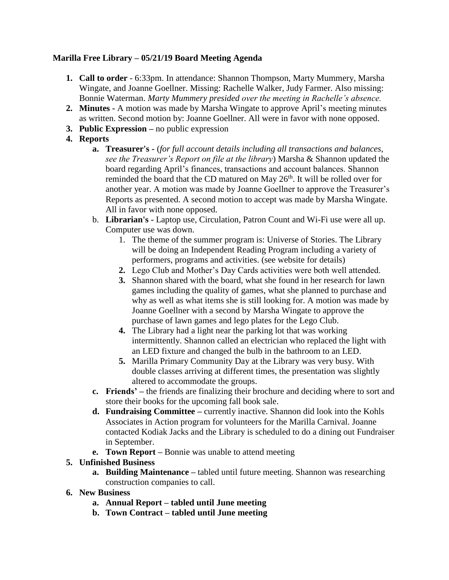# **Marilla Free Library – 05/21/19 Board Meeting Agenda**

- **1. Call to order** 6:33pm. In attendance: Shannon Thompson, Marty Mummery, Marsha Wingate, and Joanne Goellner. Missing: Rachelle Walker, Judy Farmer. Also missing: Bonnie Waterman. *Marty Mummery presided over the meeting in Rachelle's absence.*
- **2. Minutes -** A motion was made by Marsha Wingate to approve April's meeting minutes as written. Second motion by: Joanne Goellner. All were in favor with none opposed.
- **3. Public Expression –** no public expression
- **4. Reports**
	- **a. Treasurer's -** (*for full account details including all transactions and balances, see the Treasurer's Report on file at the library*) Marsha & Shannon updated the board regarding April's finances, transactions and account balances. Shannon reminded the board that the CD matured on May  $26<sup>th</sup>$ . It will be rolled over for another year. A motion was made by Joanne Goellner to approve the Treasurer's Reports as presented. A second motion to accept was made by Marsha Wingate. All in favor with none opposed.
	- b. **Librarian's -** Laptop use, Circulation, Patron Count and Wi-Fi use were all up. Computer use was down.
		- 1. The theme of the summer program is: Universe of Stories. The Library will be doing an Independent Reading Program including a variety of performers, programs and activities. (see website for details)
		- **2.** Lego Club and Mother's Day Cards activities were both well attended.
		- **3.** Shannon shared with the board, what she found in her research for lawn games including the quality of games, what she planned to purchase and why as well as what items she is still looking for. A motion was made by Joanne Goellner with a second by Marsha Wingate to approve the purchase of lawn games and lego plates for the Lego Club.
		- **4.** The Library had a light near the parking lot that was working intermittently. Shannon called an electrician who replaced the light with an LED fixture and changed the bulb in the bathroom to an LED.
		- **5.** Marilla Primary Community Day at the Library was very busy. With double classes arriving at different times, the presentation was slightly altered to accommodate the groups.
	- **c. Friends' –** the friends are finalizing their brochure and deciding where to sort and store their books for the upcoming fall book sale.
	- **d. Fundraising Committee –** currently inactive. Shannon did look into the Kohls Associates in Action program for volunteers for the Marilla Carnival. Joanne contacted Kodiak Jacks and the Library is scheduled to do a dining out Fundraiser in September.
	- **e. Town Report –** Bonnie was unable to attend meeting

# **5. Unfinished Business**

- **a. Building Maintenance –** tabled until future meeting. Shannon was researching construction companies to call.
- **6. New Business**
	- **a. Annual Report – tabled until June meeting**
	- **b. Town Contract – tabled until June meeting**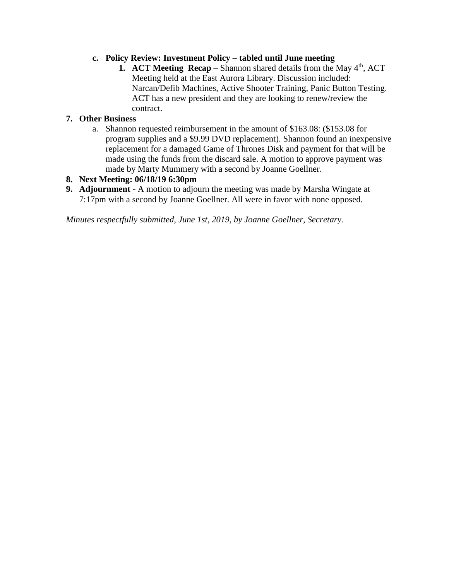# **c. Policy Review: Investment Policy – tabled until June meeting**

**1. ACT Meeting Recap** – Shannon shared details from the May 4<sup>th</sup>, ACT Meeting held at the East Aurora Library. Discussion included: Narcan/Defib Machines, Active Shooter Training, Panic Button Testing. ACT has a new president and they are looking to renew/review the contract.

### **7. Other Business**

a. Shannon requested reimbursement in the amount of \$163.08: (\$153.08 for program supplies and a \$9.99 DVD replacement). Shannon found an inexpensive replacement for a damaged Game of Thrones Disk and payment for that will be made using the funds from the discard sale. A motion to approve payment was made by Marty Mummery with a second by Joanne Goellner.

# **8. Next Meeting: 06/18/19 6:30pm**

**9. Adjournment -** A motion to adjourn the meeting was made by Marsha Wingate at 7:17pm with a second by Joanne Goellner. All were in favor with none opposed.

*Minutes respectfully submitted, June 1st, 2019, by Joanne Goellner, Secretary.*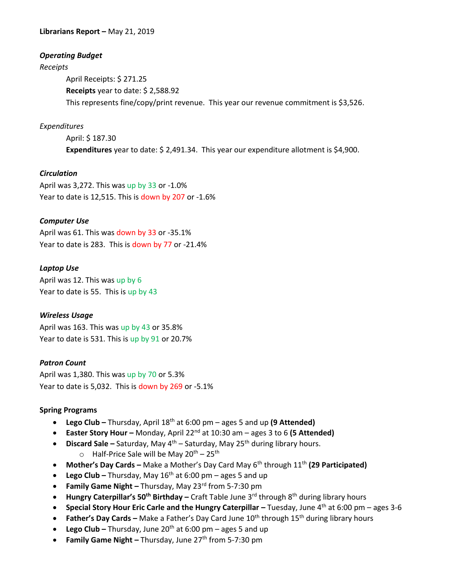**Librarians Report –** May 21, 2019

### *Operating Budget*

*Receipts*

April Receipts: \$ 271.25 **Receipts** year to date: \$ 2,588.92 This represents fine/copy/print revenue. This year our revenue commitment is \$3,526.

### *Expenditures*

April: \$ 187.30 **Expenditures** year to date: \$ 2,491.34. This year our expenditure allotment is \$4,900.

### *Circulation*

April was 3,272. This was up by 33 or -1.0% Year to date is 12,515. This is down by 207 or -1.6%

### *Computer Use*

April was 61. This was down by 33 or -35.1% Year to date is 283. This is down by 77 or -21.4%

### *Laptop Use*

April was 12. This was up by 6 Year to date is 55. This is up by 43

#### *Wireless Usage*

April was 163. This was up by 43 or 35.8% Year to date is 531. This is up by 91 or 20.7%

### *Patron Count*

April was 1,380. This was up by 70 or 5.3% Year to date is 5,032. This is down by 269 or -5.1%

#### **Spring Programs**

- **Lego Club –** Thursday, April 18th at 6:00 pm ages 5 and up **(9 Attended)**
- **Easter Story Hour** Monday, April 22<sup>nd</sup> at 10:30 am ages 3 to 6 (5 Attended)
- **•** Discard Sale Saturday, May 4<sup>th</sup> Saturday, May 25<sup>th</sup> during library hours.
	- $\circ$  Half-Price Sale will be May 20<sup>th</sup> 25<sup>th</sup>
- **Mother's Day Cards –** Make a Mother's Day Card May 6<sup>th</sup> through 11<sup>th</sup> (29 Participated)
- **Lego Club –** Thursday, May 16th at 6:00 pm ages 5 and up
- **Family Game Night –** Thursday, May 23rd from 5-7:30 pm
- **Hungry Caterpillar's 50th Birthday –** Craft Table June 3rd through 8th during library hours
- **Special Story Hour Eric Carle and the Hungry Caterpillar Tuesday, June 4<sup>th</sup> at 6:00 pm ages 3-6**
- **Father's Day Cards –** Make a Father's Day Card June 10<sup>th</sup> through 15<sup>th</sup> during library hours
- **Lego Club –** Thursday, June 20<sup>th</sup> at 6:00 pm ages 5 and up
- **Family Game Night –** Thursday, June 27<sup>th</sup> from 5-7:30 pm